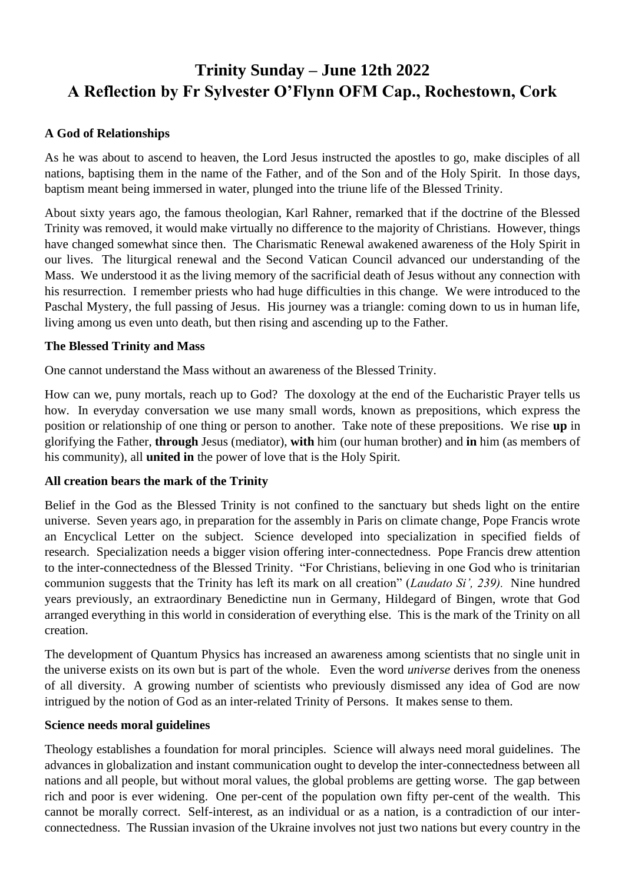# **Trinity Sunday – June 12th 2022 A Reflection by Fr Sylvester O'Flynn OFM Cap., Rochestown, Cork**

## **A God of Relationships**

As he was about to ascend to heaven, the Lord Jesus instructed the apostles to go, make disciples of all nations, baptising them in the name of the Father, and of the Son and of the Holy Spirit. In those days, baptism meant being immersed in water, plunged into the triune life of the Blessed Trinity.

About sixty years ago, the famous theologian, Karl Rahner, remarked that if the doctrine of the Blessed Trinity was removed, it would make virtually no difference to the majority of Christians. However, things have changed somewhat since then. The Charismatic Renewal awakened awareness of the Holy Spirit in our lives. The liturgical renewal and the Second Vatican Council advanced our understanding of the Mass. We understood it as the living memory of the sacrificial death of Jesus without any connection with his resurrection. I remember priests who had huge difficulties in this change. We were introduced to the Paschal Mystery, the full passing of Jesus. His journey was a triangle: coming down to us in human life, living among us even unto death, but then rising and ascending up to the Father.

## **The Blessed Trinity and Mass**

One cannot understand the Mass without an awareness of the Blessed Trinity.

How can we, puny mortals, reach up to God? The doxology at the end of the Eucharistic Prayer tells us how. In everyday conversation we use many small words, known as prepositions, which express the position or relationship of one thing or person to another. Take note of these prepositions. We rise **up** in glorifying the Father, **through** Jesus (mediator), **with** him (our human brother) and **in** him (as members of his community), all **united in** the power of love that is the Holy Spirit.

## **All creation bears the mark of the Trinity**

Belief in the God as the Blessed Trinity is not confined to the sanctuary but sheds light on the entire universe. Seven years ago, in preparation for the assembly in Paris on climate change, Pope Francis wrote an Encyclical Letter on the subject. Science developed into specialization in specified fields of research. Specialization needs a bigger vision offering inter-connectedness. Pope Francis drew attention to the inter-connectedness of the Blessed Trinity. "For Christians, believing in one God who is trinitarian communion suggests that the Trinity has left its mark on all creation" (*Laudato Si', 239).* Nine hundred years previously, an extraordinary Benedictine nun in Germany, Hildegard of Bingen, wrote that God arranged everything in this world in consideration of everything else. This is the mark of the Trinity on all creation.

The development of Quantum Physics has increased an awareness among scientists that no single unit in the universe exists on its own but is part of the whole. Even the word *universe* derives from the oneness of all diversity. A growing number of scientists who previously dismissed any idea of God are now intrigued by the notion of God as an inter-related Trinity of Persons. It makes sense to them.

#### **Science needs moral guidelines**

Theology establishes a foundation for moral principles. Science will always need moral guidelines. The advances in globalization and instant communication ought to develop the inter-connectedness between all nations and all people, but without moral values, the global problems are getting worse. The gap between rich and poor is ever widening. One per-cent of the population own fifty per-cent of the wealth. This cannot be morally correct. Self-interest, as an individual or as a nation, is a contradiction of our interconnectedness. The Russian invasion of the Ukraine involves not just two nations but every country in the